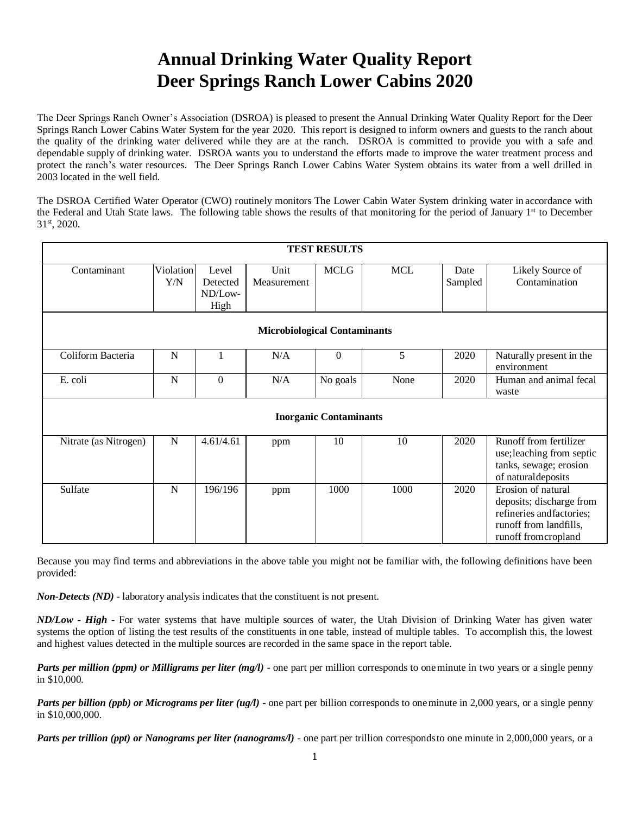## **Annual Drinking Water Quality Report Deer Springs Ranch Lower Cabins 2020**

The Deer Springs Ranch Owner's Association (DSROA) is pleased to present the Annual Drinking Water Quality Report for the Deer Springs Ranch Lower Cabins Water System for the year 2020. This report is designed to inform owners and guests to the ranch about the quality of the drinking water delivered while they are at the ranch. DSROA is committed to provide you with a safe and dependable supply of drinking water. DSROA wants you to understand the efforts made to improve the water treatment process and protect the ranch's water resources. The Deer Springs Ranch Lower Cabins Water System obtains its water from a well drilled in 2003 located in the well field.

The DSROA Certified Water Operator (CWO) routinely monitors The Lower Cabin Water System drinking water in accordance with the Federal and Utah State laws. The following table shows the results of that monitoring for the period of January 1<sup>st</sup> to December 31st, 2020.

| <b>TEST RESULTS</b>                 |                          |                                      |                     |             |            |                 |                                                                                                                              |
|-------------------------------------|--------------------------|--------------------------------------|---------------------|-------------|------------|-----------------|------------------------------------------------------------------------------------------------------------------------------|
| Contaminant                         | Violation<br>${\rm Y/N}$ | Level<br>Detected<br>ND/Low-<br>High | Unit<br>Measurement | <b>MCLG</b> | <b>MCL</b> | Date<br>Sampled | Likely Source of<br>Contamination                                                                                            |
| <b>Microbiological Contaminants</b> |                          |                                      |                     |             |            |                 |                                                                                                                              |
| Coliform Bacteria                   | N                        |                                      | N/A                 | $\Omega$    | 5          | 2020            | Naturally present in the<br>environment                                                                                      |
| E. coli                             | $\mathbf N$              | $\boldsymbol{0}$                     | N/A                 | No goals    | None       | 2020            | Human and animal fecal<br>waste                                                                                              |
| <b>Inorganic Contaminants</b>       |                          |                                      |                     |             |            |                 |                                                                                                                              |
| Nitrate (as Nitrogen)               | N                        | 4.61/4.61                            | ppm                 | 10          | 10         | 2020            | Runoff from fertilizer<br>use; leaching from septic<br>tanks, sewage; erosion<br>of natural deposits                         |
| Sulfate                             | N                        | 196/196                              | ppm                 | 1000        | 1000       | 2020            | Erosion of natural<br>deposits; discharge from<br>refineries and factories;<br>runoff from landfills,<br>runoff fromcropland |

Because you may find terms and abbreviations in the above table you might not be familiar with, the following definitions have been provided:

*Non-Detects (ND)* - laboratory analysis indicates that the constituent is not present.

*ND/Low - High -* For water systems that have multiple sources of water, the Utah Division of Drinking Water has given water systems the option of listing the test results of the constituents in one table, instead of multiple tables. To accomplish this, the lowest and highest values detected in the multiple sources are recorded in the same space in the report table.

*Parts per million (ppm) or Milligrams per liter (mg/l)* - one part per million corresponds to oneminute in two years or a single penny in \$10,000.

*Parts per billion (ppb) or Micrograms per liter (ug/l)* - one part per billion corresponds to oneminute in 2,000 years, or a single penny in \$10,000,000.

*Parts per trillion (ppt) or Nanograms per liter (nanograms/l)* - one part per trillion correspondsto one minute in 2,000,000 years, or a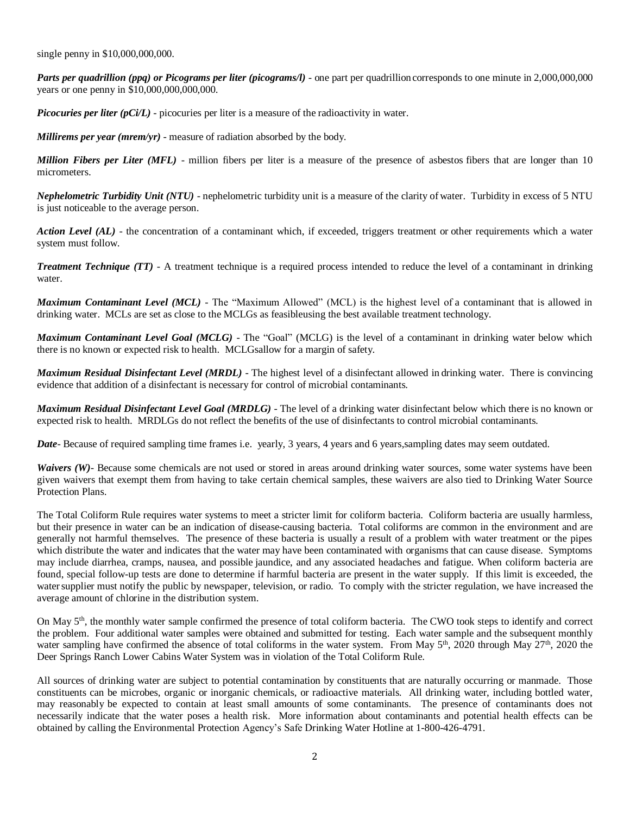single penny in \$10,000,000,000.

*Parts per quadrillion (ppq) or Picograms per liter (picograms/l)* - one part per quadrillion corresponds to one minute in 2,000,000,000 years or one penny in \$10,000,000,000,000.

*Picocuries per liter (pCi/L)* - picocuries per liter is a measure of the radioactivity in water.

*Millirems per year (mrem/yr)* - measure of radiation absorbed by the body.

*Million Fibers per Liter (MFL)* - million fibers per liter is a measure of the presence of asbestos fibers that are longer than 10 micrometers.

*Nephelometric Turbidity Unit (NTU)* - nephelometric turbidity unit is a measure of the clarity of water. Turbidity in excess of 5 NTU is just noticeable to the average person.

Action Level (AL) - the concentration of a contaminant which, if exceeded, triggers treatment or other requirements which a water system must follow.

*Treatment Technique (TT)* - A treatment technique is a required process intended to reduce the level of a contaminant in drinking water.

*Maximum Contaminant Level (MCL)* - The "Maximum Allowed" (MCL) is the highest level of a contaminant that is allowed in drinking water. MCLs are set as close to the MCLGs as feasibleusing the best available treatment technology.

*Maximum Contaminant Level Goal (MCLG)* - The "Goal" (MCLG) is the level of a contaminant in drinking water below which there is no known or expected risk to health. MCLGsallow for a margin of safety.

*Maximum Residual Disinfectant Level (MRDL)* - The highest level of a disinfectant allowed in drinking water. There is convincing evidence that addition of a disinfectant is necessary for control of microbial contaminants.

*Maximum Residual Disinfectant Level Goal (MRDLG)* - The level of a drinking water disinfectant below which there is no known or expected risk to health. MRDLGs do not reflect the benefits of the use of disinfectants to control microbial contaminants.

*Date*- Because of required sampling time frames i.e. yearly, 3 years, 4 years and 6 years, sampling dates may seem outdated.

*Waivers (W)*- Because some chemicals are not used or stored in areas around drinking water sources, some water systems have been given waivers that exempt them from having to take certain chemical samples, these waivers are also tied to Drinking Water Source Protection Plans.

The Total Coliform Rule requires water systems to meet a stricter limit for coliform bacteria. Coliform bacteria are usually harmless, but their presence in water can be an indication of disease-causing bacteria. Total coliforms are common in the environment and are generally not harmful themselves. The presence of these bacteria is usually a result of a problem with water treatment or the pipes which distribute the water and indicates that the water may have been contaminated with organisms that can cause disease. Symptoms may include diarrhea, cramps, nausea, and possible jaundice, and any associated headaches and fatigue. When coliform bacteria are found, special follow-up tests are done to determine if harmful bacteria are present in the water supply. If this limit is exceeded, the water supplier must notify the public by newspaper, television, or radio. To comply with the stricter regulation, we have increased the average amount of chlorine in the distribution system.

On May  $5<sup>th</sup>$ , the monthly water sample confirmed the presence of total coliform bacteria. The CWO took steps to identify and correct the problem. Four additional water samples were obtained and submitted for testing. Each water sample and the subsequent monthly water sampling have confirmed the absence of total coliforms in the water system. From May 5<sup>th</sup>, 2020 through May 27<sup>th</sup>, 2020 the Deer Springs Ranch Lower Cabins Water System was in violation of the Total Coliform Rule.

All sources of drinking water are subject to potential contamination by constituents that are naturally occurring or manmade. Those constituents can be microbes, organic or inorganic chemicals, or radioactive materials. All drinking water, including bottled water, may reasonably be expected to contain at least small amounts of some contaminants. The presence of contaminants does not necessarily indicate that the water poses a health risk. More information about contaminants and potential health effects can be obtained by calling the Environmental Protection Agency's Safe Drinking Water Hotline at 1-800-426-4791.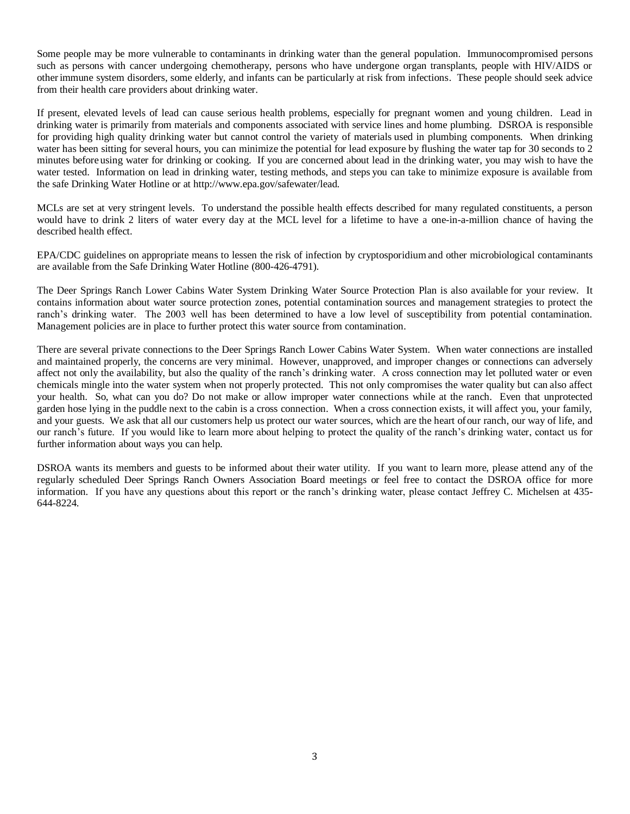Some people may be more vulnerable to contaminants in drinking water than the general population. Immunocompromised persons such as persons with cancer undergoing chemotherapy, persons who have undergone organ transplants, people with HIV/AIDS or otherimmune system disorders, some elderly, and infants can be particularly at risk from infections. These people should seek advice from their health care providers about drinking water.

If present, elevated levels of lead can cause serious health problems, especially for pregnant women and young children. Lead in drinking water is primarily from materials and components associated with service lines and home plumbing. DSROA is responsible for providing high quality drinking water but cannot control the variety of materials used in plumbing components. When drinking water has been sitting for several hours, you can minimize the potential for lead exposure by flushing the water tap for 30 seconds to 2 minutes before using water for drinking or cooking. If you are concerned about lead in the drinking water, you may wish to have the water tested. Information on lead in drinking water, testing methods, and steps you can take to minimize exposure is available from the safe Drinking Water Hotline or at [http://www.epa.gov/safewater/lead.](http://www.epa.gov/safewater/lead)

MCLs are set at very stringent levels. To understand the possible health effects described for many regulated constituents, a person would have to drink 2 liters of water every day at the MCL level for a lifetime to have a one-in-a-million chance of having the described health effect.

EPA/CDC guidelines on appropriate means to lessen the risk of infection by cryptosporidium and other microbiological contaminants are available from the Safe Drinking Water Hotline (800-426-4791).

The Deer Springs Ranch Lower Cabins Water System Drinking Water Source Protection Plan is also available for your review. It contains information about water source protection zones, potential contamination sources and management strategies to protect the ranch's drinking water. The 2003 well has been determined to have a low level of susceptibility from potential contamination. Management policies are in place to further protect this water source from contamination.

There are several private connections to the Deer Springs Ranch Lower Cabins Water System. When water connections are installed and maintained properly, the concerns are very minimal. However, unapproved, and improper changes or connections can adversely affect not only the availability, but also the quality of the ranch's drinking water. A cross connection may let polluted water or even chemicals mingle into the water system when not properly protected. This not only compromises the water quality but can also affect your health. So, what can you do? Do not make or allow improper water connections while at the ranch. Even that unprotected garden hose lying in the puddle next to the cabin is a cross connection. When a cross connection exists, it will affect you, your family, and your guests. We ask that all our customers help us protect our water sources, which are the heart ofour ranch, our way of life, and our ranch's future. If you would like to learn more about helping to protect the quality of the ranch's drinking water, contact us for further information about ways you can help.

DSROA wants its members and guests to be informed about their water utility. If you want to learn more, please attend any of the regularly scheduled Deer Springs Ranch Owners Association Board meetings or feel free to contact the DSROA office for more information. If you have any questions about this report or the ranch's drinking water, please contact Jeffrey C. Michelsen at 435- 644-8224.